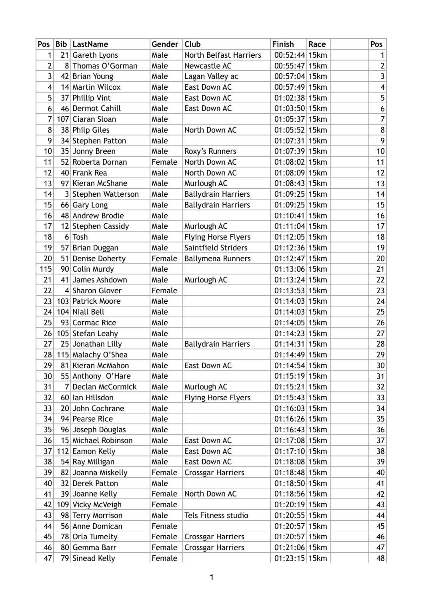| Pos $ $        | Bib            | LastName            | Gender | Club                       | Finish            | Race | Pos                     |
|----------------|----------------|---------------------|--------|----------------------------|-------------------|------|-------------------------|
| 1              |                | 21 Gareth Lyons     | Male   | North Belfast Harriers     | $00:52:44$ 15 km  |      | 1                       |
| $\overline{2}$ |                | 8 Thomas O'Gorman   | Male   | Newcastle AC               | $00:55:47$   15km |      | $\overline{2}$          |
| 3              |                | 42 Brian Young      | Male   | Lagan Valley ac            | $00:57:04$ 15 km  |      | $\mathbf{3}$            |
| 4              |                | 14 Martin Wilcox    | Male   | East Down AC               | $00:57:49$ 15km   |      | $\overline{\mathbf{4}}$ |
| 5              |                | 37 Phillip Vint     | Male   | East Down AC               | $01:02:38$ 15km   |      | 5                       |
| 6              |                | 46 Dermot Cahill    | Male   | East Down AC               | $01:03:50$ 15km   |      | $\boldsymbol{6}$        |
| 7              |                | 107 Ciaran Sloan    | Male   |                            | 01:05:37 15km     |      | 7                       |
| 8              |                | 38 Philp Giles      | Male   | North Down AC              | $01:05:52$ 15km   |      | $\bf 8$                 |
| 9              |                | 34 Stephen Patton   | Male   |                            | 01:07:31 15km     |      | 9                       |
| 10             |                | 35 Jonny Breen      | Male   | Roxy's Runners             | 01:07:39 15km     |      | 10                      |
| 11             |                | 52 Roberta Dornan   | Female | North Down AC              | $01:08:02$ 15km   |      | 11                      |
| 12             |                | 40 Frank Rea        | Male   | North Down AC              | $01:08:09$ 15km   |      | 12                      |
| 13             |                | 97 Kieran McShane   | Male   | Murlough AC                | $01:08:43$ 15 km  |      | 13                      |
| 14             |                | 3 Stephen Watterson | Male   | <b>Ballydrain Harriers</b> | $01:09:25$ 15 km  |      | 14                      |
| 15             |                | 66 Gary Long        | Male   | <b>Ballydrain Harriers</b> | 01:09:25 15km     |      | 15                      |
| 16             |                | 48 Andrew Brodie    | Male   |                            | $01:10:41$ 15km   |      | 16                      |
| 17             |                | 12 Stephen Cassidy  | Male   | Murlough AC                | $01:11:04$ 15 km  |      | 17                      |
| 18             |                | $6$ Tosh            | Male   | <b>Flying Horse Flyers</b> | $01:12:05$ 15 km  |      | 18                      |
| 19             |                | 57 Brian Duggan     | Male   | Saintfield Striders        | 01:12:36 15km     |      | 19                      |
| 20             |                | 51 Denise Doherty   | Female | <b>Ballymena Runners</b>   | $01:12:47$   15km |      | 20                      |
| 115            |                | 90 Colin Murdy      | Male   |                            | $01:13:06$ 15km   |      | 21                      |
| 21             |                | 41 James Ashdown    | Male   | Murlough AC                | $01:13:24$ 15 km  |      | 22                      |
| 22             |                | 4 Sharon Glover     | Female |                            | $01:13:53$ 15km   |      | 23                      |
| 23             |                | 103 Patrick Moore   | Male   |                            | $01:14:03$ 15km   |      | 24                      |
| 24             |                | 104 Niall Bell      | Male   |                            | $01:14:03$ 15km   |      | 25                      |
| 25             |                | 93 Cormac Rice      | Male   |                            | $01:14:05$ 15 km  |      | 26                      |
| 26             |                | 105 Stefan Leahy    | Male   |                            | $01:14:23$ 15km   |      | 27                      |
| 27             |                | 25 Jonathan Lilly   | Male   | <b>Ballydrain Harriers</b> | 01:14:31 15km     |      | 28                      |
| 28             |                | 115 Malachy O'Shea  | Male   |                            | 01:14:49 15km     |      | 29                      |
| 29             |                | 81 Kieran McMahon   | Male   | East Down AC               | 01:14:54 15km     |      | 30                      |
| 30             |                | 55 Anthony O'Hare   | Male   |                            | $01:15:19$ 15 km  |      | 31                      |
| 31             | 7 <sup>1</sup> | Declan McCormick    | Male   | Murlough AC                | $01:15:21$ 15 km  |      | 32                      |
| 32             |                | 60 Ian Hillsdon     | Male   | <b>Flying Horse Flyers</b> | 01:15:43 15km     |      | 33                      |
| 33             |                | 20 John Cochrane    | Male   |                            | $01:16:03$ 15km   |      | 34                      |
| 34             |                | 94 Pearse Rice      | Male   |                            | $01:16:26$ 15km   |      | 35                      |
| 35             |                | 96 Joseph Douglas   | Male   |                            | $01:16:43$ 15km   |      | 36                      |
| 36             |                | 15 Michael Robinson | Male   | East Down AC               | $01:17:08$ 15 km  |      | 37                      |
| 37             |                | 112 Eamon Kelly     | Male   | East Down AC               | $01:17:10$ 15 km  |      | 38                      |
| 38             |                | 54 Ray Milligan     | Male   | East Down AC               | $01:18:08$ 15km   |      | 39                      |
| 39             |                | 82 Joanna Miskelly  | Female | <b>Crossgar Harriers</b>   | $01:18:48$ 15 km  |      | 40                      |
| 40             |                | 32 Derek Patton     | Male   |                            | 01:18:50 15km     |      | 41                      |
| 41             |                | 39 Joanne Kelly     | Female | North Down AC              | $01:18:56$ 15km   |      | 42                      |
| 42             |                | 109 Vicky McVeigh   | Female |                            | $01:20:19$ 15 km  |      | 43                      |
| 43             |                | 98 Terry Morrison   | Male   | Tels Fitness studio        | $01:20:55$ 15 km  |      | 44                      |
| 44             |                | 56 Anne Domican     | Female |                            | $01:20:57$ 15 km  |      | 45                      |
| 45             |                | 78 Orla Tumelty     | Female | <b>Crossgar Harriers</b>   | $01:20:57$ 15km   |      | 46                      |
| 46             |                | 80 Gemma Barr       | Female | <b>Crossgar Harriers</b>   | $01:21:06$ 15km   |      | 47                      |
| 47             |                | 79 Sinead Kelly     | Female |                            | $01:23:15$ 15 km  |      | 48                      |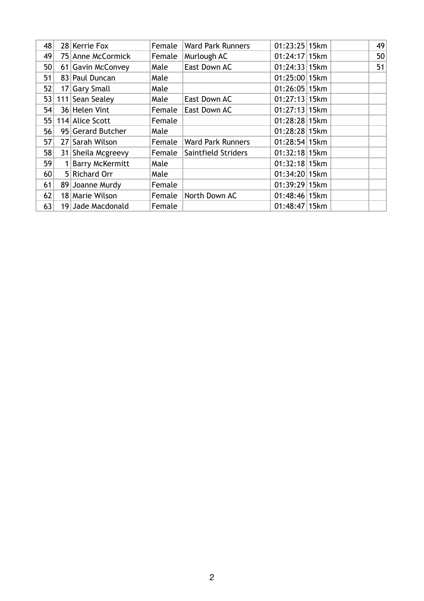| 48              | 28 Kerrie Fox      | Female | <b>Ward Park Runners</b> | $01:23:25$ 15 km  |  | 49 |
|-----------------|--------------------|--------|--------------------------|-------------------|--|----|
| 49              | 75 Anne McCormick  | Female | Murlough AC              | $01:24:17$   15km |  | 50 |
| 50              | 61 Gavin McConvey  | Male   | East Down AC             | 01:24:33 15km     |  | 51 |
| 51              | 83 Paul Duncan     | Male   |                          | $01:25:00$ 15 km  |  |    |
| 52              | 17 Gary Small      | Male   |                          | $01:26:05$  15km  |  |    |
| 53              | 111 Sean Sealey    | Male   | East Down AC             | $01:27:13$ 15 km  |  |    |
| 54              | 36 Helen Vint      | Female | East Down AC             | $01:27:13$ 15km   |  |    |
| 55              | 114 Alice Scott    | Female |                          | $01:28:28$ 15 km  |  |    |
| 56              | 95 Gerard Butcher  | Male   |                          | $01:28:28$ 15 km  |  |    |
| 57              | 27 Sarah Wilson    | Female | <b>Ward Park Runners</b> | $01:28:54$ 15 km  |  |    |
| 58              | 31 Sheila Mcgreevy | Female | Saintfield Striders      | $01:32:18$ 15 km  |  |    |
| 59              | 1 Barry McKermitt  | Male   |                          | $01:32:18$ 15 km  |  |    |
| 60 <sub>1</sub> | 5 Richard Orr      | Male   |                          | 01:34:20 15km     |  |    |
| 61              | 89 Joanne Murdy    | Female |                          | 01:39:29 15km     |  |    |
| 62              | 18 Marie Wilson    | Female | North Down AC            | $01:48:46$ 15 km  |  |    |
| 63              | 19 Jade Macdonald  | Female |                          | $01:48:47$ 15 km  |  |    |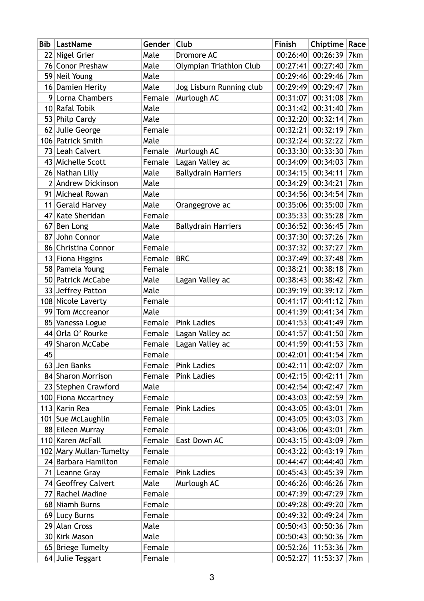| Bib | LastName                | Gender | Club                       | Finish   | Chiptime   Race |     |
|-----|-------------------------|--------|----------------------------|----------|-----------------|-----|
|     | 22 Nigel Grier          | Male   | Dromore AC                 | 00:26:40 | 00:26:39        | 7km |
|     | 76 Conor Preshaw        | Male   | Olympian Triathlon Club    | 00:27:41 | 00:27:40        | 7km |
|     | 59 Neil Young           | Male   |                            | 00:29:46 | 00:29:46        | 7km |
|     | 16 Damien Herity        | Male   | Jog Lisburn Running club   | 00:29:49 | 00:29:47        | 7km |
|     | 9 Lorna Chambers        | Female | Murlough AC                | 00:31:07 | 00:31:08        | 7km |
|     | 10 Rafal Tobik          | Male   |                            | 00:31:42 | 00:31:40        | 7km |
|     | 53 Philp Cardy          | Male   |                            | 00:32:20 | 00:32:14        | 7km |
|     | 62 Julie George         | Female |                            | 00:32:21 | 00:32:19        | 7km |
|     | 106 Patrick Smith       | Male   |                            | 00:32:24 | 00:32:22        | 7km |
|     | 73 Leah Calvert         | Female | Murlough AC                | 00:33:30 | 00:33:30        | 7km |
|     | 43 Michelle Scott       | Female | Lagan Valley ac            | 00:34:09 | 00:34:03        | 7km |
|     | 26 Nathan Lilly         | Male   | <b>Ballydrain Harriers</b> | 00:34:15 | 00:34:11        | 7km |
|     | 2 Andrew Dickinson      | Male   |                            | 00:34:29 | 00:34:21        | 7km |
| 91  | Micheal Rowan           | Male   |                            | 00:34:56 | 00:34:54        | 7km |
|     | 11 Gerald Harvey        | Male   | Orangegrove ac             | 00:35:06 | 00:35:00        | 7km |
| 47  | Kate Sheridan           | Female |                            | 00:35:33 | 00:35:28        | 7km |
| 67  | Ben Long                | Male   | <b>Ballydrain Harriers</b> | 00:36:52 | 00:36:45        | 7km |
| 87  | John Connor             | Male   |                            | 00:37:30 | 00:37:26        | 7km |
|     | 86 Christina Connor     | Female |                            | 00:37:32 | 00:37:27        | 7km |
|     | 13 Fiona Higgins        | Female | <b>BRC</b>                 | 00:37:49 | 00:37:48        | 7km |
|     | 58 Pamela Young         | Female |                            | 00:38:21 | 00:38:18        | 7km |
|     | 50 Patrick McCabe       | Male   | Lagan Valley ac            | 00:38:43 | 00:38:42        | 7km |
|     | 33 Jeffrey Patton       | Male   |                            | 00:39:19 | 00:39:12        | 7km |
|     | 108 Nicole Laverty      | Female |                            | 00:41:17 | 00:41:12        | 7km |
| 99  | Tom Mccreanor           | Male   |                            | 00:41:39 | 00:41:34        | 7km |
| 85  | Vanessa Logue           | Female | <b>Pink Ladies</b>         | 00:41:53 | 00:41:49        | 7km |
|     | 44 Orla O' Rourke       | Female | Lagan Valley ac            | 00:41:57 | 00:41:50        | 7km |
|     | 49 Sharon McCabe        | Female | Lagan Valley ac            | 00:41:59 | 00:41:53        | 7km |
| 45  |                         | Female |                            | 00:42:01 | 00:41:54        | 7km |
|     | 63 Jen Banks            | Female | <b>Pink Ladies</b>         | 00:42:11 | 00:42:07        | 7km |
|     | 84 Sharon Morrison      | Female | <b>Pink Ladies</b>         | 00:42:15 | 00:42:11        | 7km |
|     | 23 Stephen Crawford     | Male   |                            | 00:42:54 | 00:42:47        | 7km |
|     | 100 Fiona Mccartney     | Female |                            | 00:43:03 | 00:42:59        | 7km |
|     | 113 Karin Rea           | Female | <b>Pink Ladies</b>         | 00:43:05 | 00:43:01        | 7km |
|     | 101 Sue McLaughlin      | Female |                            | 00:43:05 | 00:43:03        | 7km |
|     | 88 Eileen Murray        | Female |                            | 00:43:06 | 00:43:01        | 7km |
|     | 110 Karen McFall        | Female | East Down AC               | 00:43:15 | 00:43:09        | 7km |
|     | 102 Mary Mullan-Tumelty | Female |                            | 00:43:22 | 00:43:19        | 7km |
|     | 24 Barbara Hamilton     | Female |                            | 00:44:47 | 00:44:40        | 7km |
|     | 71 Leanne Gray          | Female | <b>Pink Ladies</b>         | 00:45:43 | 00:45:39        | 7km |
|     | 74 Geoffrey Calvert     | Male   | Murlough AC                | 00:46:26 | 00:46:26        | 7km |
|     | 77 Rachel Madine        | Female |                            | 00:47:39 | 00:47:29        | 7km |
|     | 68 Niamh Burns          | Female |                            | 00:49:28 | 00:49:20        | 7km |
|     | 69 Lucy Burns           | Female |                            | 00:49:32 | 00:49:24        | 7km |
|     | 29 Alan Cross           | Male   |                            | 00:50:43 | 00:50:36        | 7km |
|     | 30 Kirk Mason           | Male   |                            | 00:50:43 | 00:50:36        | 7km |
|     | 65 Briege Tumelty       | Female |                            | 00:52:26 | 11:53:36        | 7km |
|     | 64 Julie Teggart        | Female |                            | 00:52:27 | 11:53:37        | 7km |